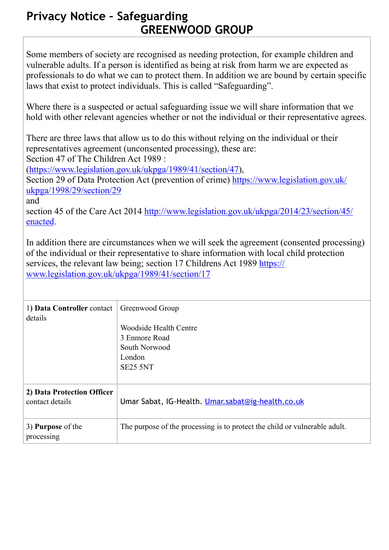## **Privacy Notice – Safeguarding GREENWOOD GROUP**

Some members of society are recognised as needing protection, for example children and vulnerable adults. If a person is identified as being at risk from harm we are expected as professionals to do what we can to protect them. In addition we are bound by certain specific laws that exist to protect individuals. This is called "Safeguarding".

Where there is a suspected or actual safeguarding issue we will share information that we hold with other relevant agencies whether or not the individual or their representative agrees.

There are three laws that allow us to do this without relying on the individual or their representatives agreement (unconsented processing), these are:

Section 47 of The Children Act 1989 :

(<https://www.legislation.gov.uk/ukpga/1989/41/section/47>),

[Section 29 of Data Protection Act \(prevention of crime\) https://www.legislation.gov.uk/](https://www.legislation.gov.uk/ukpga/1998/29/section/29) ukpga/1998/29/section/29

and

[section 45 of the Care Act 2014 http://www.legislation.gov.uk/ukpga/2014/23/section/45/](http://www.legislation.gov.uk/ukpga/2014/23/section/45/enacted) enacted.

In addition there are circumstances when we will seek the agreement (consented processing) of the individual or their representative to share information with local child protection [services, the relevant law being; section 17 Childrens Act 1989 https://](https://www.legislation.gov.uk/ukpga/1989/41/section/17) www.legislation.gov.uk/ukpga/1989/41/section/17

| 1) Data Controller contact<br>details         | Greenwood Group<br>Woodside Health Centre<br>3 Enmore Road<br>South Norwood<br>London<br>SE25 5NT |
|-----------------------------------------------|---------------------------------------------------------------------------------------------------|
| 2) Data Protection Officer<br>contact details | Umar Sabat, IG-Health. Umar.sabat@ig-health.co.uk                                                 |
| 3) <b>Purpose</b> of the<br>processing        | The purpose of the processing is to protect the child or vulnerable adult.                        |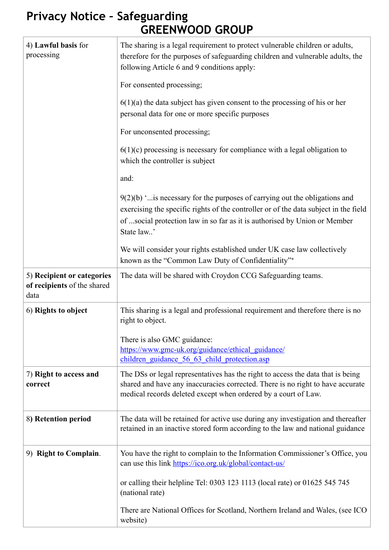## **Privacy Notice – Safeguarding GREENWOOD GROUP**

| 4) Lawful basis for<br>processing                                 | The sharing is a legal requirement to protect vulnerable children or adults,<br>therefore for the purposes of safeguarding children and vulnerable adults, the<br>following Article 6 and 9 conditions apply:                                                    |
|-------------------------------------------------------------------|------------------------------------------------------------------------------------------------------------------------------------------------------------------------------------------------------------------------------------------------------------------|
|                                                                   | For consented processing;                                                                                                                                                                                                                                        |
|                                                                   | $6(1)(a)$ the data subject has given consent to the processing of his or her<br>personal data for one or more specific purposes                                                                                                                                  |
|                                                                   | For unconsented processing;                                                                                                                                                                                                                                      |
|                                                                   | $6(1)(c)$ processing is necessary for compliance with a legal obligation to<br>which the controller is subject                                                                                                                                                   |
|                                                                   | and:                                                                                                                                                                                                                                                             |
|                                                                   | $9(2)(b)$ " is necessary for the purposes of carrying out the obligations and<br>exercising the specific rights of the controller or of the data subject in the field<br>of social protection law in so far as it is authorised by Union or Member<br>State law' |
|                                                                   | We will consider your rights established under UK case law collectively<br>known as the "Common Law Duty of Confidentiality"*                                                                                                                                    |
| 5) Recipient or categories<br>of recipients of the shared<br>data | The data will be shared with Croydon CCG Safeguarding teams.                                                                                                                                                                                                     |
| 6) Rights to object                                               | This sharing is a legal and professional requirement and therefore there is no<br>right to object.                                                                                                                                                               |
|                                                                   | There is also GMC guidance:                                                                                                                                                                                                                                      |
|                                                                   | https://www.gmc-uk.org/guidance/ethical_guidance/<br>children guidance 56 63 child protection.asp                                                                                                                                                                |
| 7) Right to access and<br>correct                                 | The DSs or legal representatives has the right to access the data that is being<br>shared and have any inaccuracies corrected. There is no right to have accurate<br>medical records deleted except when ordered by a court of Law.                              |
| 8) Retention period                                               | The data will be retained for active use during any investigation and thereafter<br>retained in an inactive stored form according to the law and national guidance                                                                                               |
| 9) Right to Complain.                                             | You have the right to complain to the Information Commissioner's Office, you<br>can use this link https://ico.org.uk/global/contact-us/                                                                                                                          |
|                                                                   | or calling their helpline Tel: 0303 123 1113 (local rate) or 01625 545 745<br>(national rate)                                                                                                                                                                    |
|                                                                   | There are National Offices for Scotland, Northern Ireland and Wales, (see ICO<br>website)                                                                                                                                                                        |